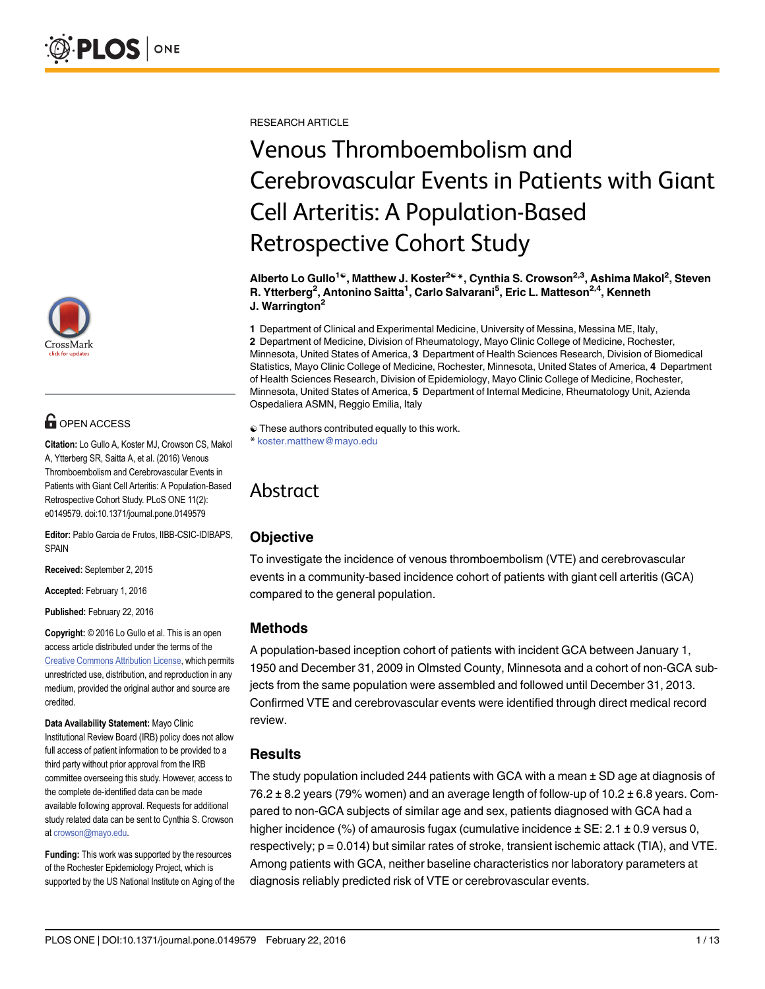

# **G** OPEN ACCESS

Citation: Lo Gullo A, Koster MJ, Crowson CS, Makol A, Ytterberg SR, Saitta A, et al. (2016) Venous Thromboembolism and Cerebrovascular Events in Patients with Giant Cell Arteritis: A Population-Based Retrospective Cohort Study. PLoS ONE 11(2): e0149579. doi:10.1371/journal.pone.0149579

Editor: Pablo Garcia de Frutos, IIBB-CSIC-IDIBAPS, SPAIN

Received: September 2, 2015

Accepted: February 1, 2016

Published: February 22, 2016

Copyright: © 2016 Lo Gullo et al. This is an open access article distributed under the terms of the [Creative Commons Attribution License,](http://creativecommons.org/licenses/by/4.0/) which permits unrestricted use, distribution, and reproduction in any medium, provided the original author and source are credited.

Data Availability Statement: Mayo Clinic Institutional Review Board (IRB) policy does not allow full access of patient information to be provided to a third party without prior approval from the IRB committee overseeing this study. However, access to the complete de-identified data can be made available following approval. Requests for additional study related data can be sent to Cynthia S. Crowson at crowson@mayo.edu.

Funding: This work was supported by the resources of the Rochester Epidemiology Project, which is supported by the US National Institute on Aging of the RESEARCH ARTICLE

# Venous Thromboembolism and Cerebrovascular Events in Patients with Giant Cell Arteritis: A Population-Based Retrospective Cohort Study

Alberto Lo Gullo<sup>1©</sup>, Matthew J. Koster<sup>2©</sup> \*, Cynthia S. Crowson<sup>2,3</sup>, Ashima Makol<sup>2</sup>, Steven R. Ytterberg<sup>2</sup>, Antonino Saitta<sup>1</sup>, Carlo Salvarani<sup>5</sup>, Eric L. Matteson<sup>2,4</sup>, Kenneth J. Warrington<sup>2</sup>

1 Department of Clinical and Experimental Medicine, University of Messina, Messina ME, Italy,

2 Department of Medicine, Division of Rheumatology, Mayo Clinic College of Medicine, Rochester, Minnesota, United States of America, 3 Department of Health Sciences Research, Division of Biomedical Statistics, Mayo Clinic College of Medicine, Rochester, Minnesota, United States of America, 4 Department of Health Sciences Research, Division of Epidemiology, Mayo Clinic College of Medicine, Rochester, Minnesota, United States of America, 5 Department of Internal Medicine, Rheumatology Unit, Azienda Ospedaliera ASMN, Reggio Emilia, Italy

\* koster.matthew@mayo.edu

# Abstract

#### **Objective**

To investigate the incidence of venous thromboembolism (VTE) and cerebrovascular events in a community-based incidence cohort of patients with giant cell arteritis (GCA) compared to the general population.

# Methods

A population-based inception cohort of patients with incident GCA between January 1, 1950 and December 31, 2009 in Olmsted County, Minnesota and a cohort of non-GCA subjects from the same population were assembled and followed until December 31, 2013. Confirmed VTE and cerebrovascular events were identified through direct medical record review.

# Results

The study population included 244 patients with GCA with a mean ± SD age at diagnosis of  $76.2 \pm 8.2$  years (79% women) and an average length of follow-up of  $10.2 \pm 6.8$  years. Compared to non-GCA subjects of similar age and sex, patients diagnosed with GCA had a higher incidence (%) of amaurosis fugax (cumulative incidence  $\pm$  SE: 2.1  $\pm$  0.9 versus 0, respectively;  $p = 0.014$ ) but similar rates of stroke, transient ischemic attack (TIA), and VTE. Among patients with GCA, neither baseline characteristics nor laboratory parameters at diagnosis reliably predicted risk of VTE or cerebrovascular events.

<sup>☯</sup> These authors contributed equally to this work.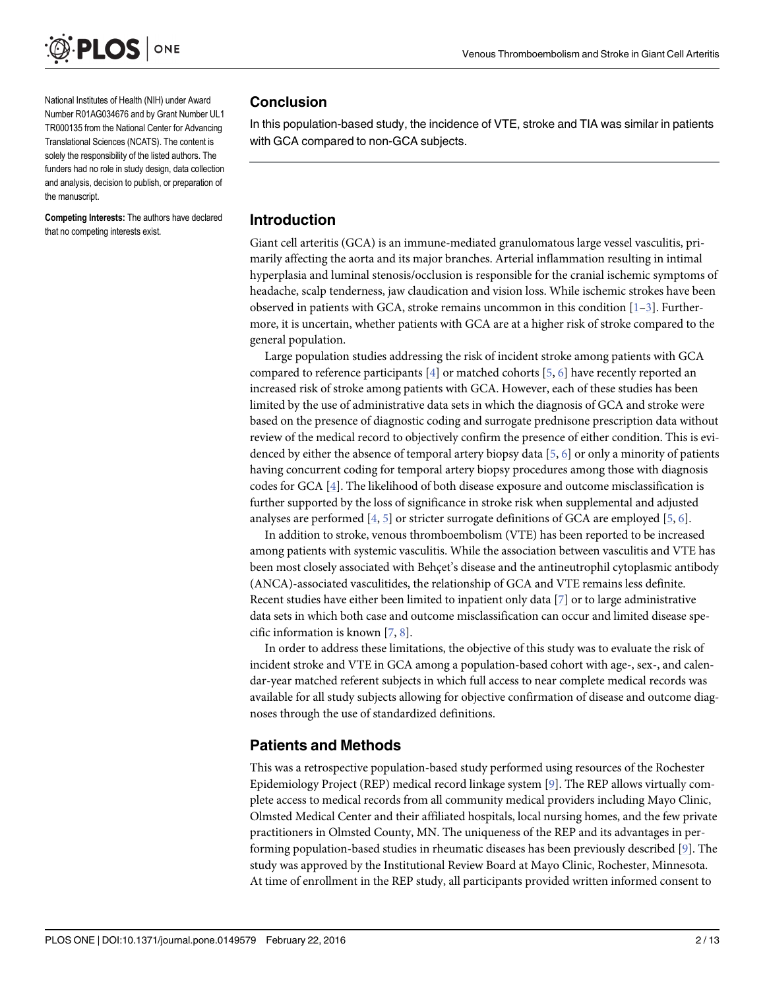<span id="page-1-0"></span>

National Institutes of Health (NIH) under Award Number R01AG034676 and by Grant Number UL1 TR000135 from the National Center for Advancing Translational Sciences (NCATS). The content is solely the responsibility of the listed authors. The funders had no role in study design, data collection and analysis, decision to publish, or preparation of the manuscript.

Competing Interests: The authors have declared that no competing interests exist.

#### Conclusion

In this population-based study, the incidence of VTE, stroke and TIA was similar in patients with GCA compared to non-GCA subjects.

#### Introduction

Giant cell arteritis (GCA) is an immune-mediated granulomatous large vessel vasculitis, primarily affecting the aorta and its major branches. Arterial inflammation resulting in intimal hyperplasia and luminal stenosis/occlusion is responsible for the cranial ischemic symptoms of headache, scalp tenderness, jaw claudication and vision loss. While ischemic strokes have been observed in patients with GCA, stroke remains uncommon in this condition  $[1-3]$  $[1-3]$  $[1-3]$ . Furthermore, it is uncertain, whether patients with GCA are at a higher risk of stroke compared to the general population.

Large population studies addressing the risk of incident stroke among patients with GCA compared to reference participants [\[4\]](#page-10-0) or matched cohorts [\[5](#page-10-0), [6](#page-10-0)] have recently reported an increased risk of stroke among patients with GCA. However, each of these studies has been limited by the use of administrative data sets in which the diagnosis of GCA and stroke were based on the presence of diagnostic coding and surrogate prednisone prescription data without review of the medical record to objectively confirm the presence of either condition. This is evidenced by either the absence of temporal artery biopsy data  $[5, 6]$  $[5, 6]$  $[5, 6]$  $[5, 6]$  or only a minority of patients having concurrent coding for temporal artery biopsy procedures among those with diagnosis codes for GCA [\[4](#page-10-0)]. The likelihood of both disease exposure and outcome misclassification is further supported by the loss of significance in stroke risk when supplemental and adjusted analyses are performed  $[4, 5]$  $[4, 5]$  $[4, 5]$  $[4, 5]$  or stricter surrogate definitions of GCA are employed  $[5, 6]$  $[5, 6]$  $[5, 6]$  $[5, 6]$ .

In addition to stroke, venous thromboembolism (VTE) has been reported to be increased among patients with systemic vasculitis. While the association between vasculitis and VTE has been most closely associated with Behçet's disease and the antineutrophil cytoplasmic antibody (ANCA)-associated vasculitides, the relationship of GCA and VTE remains less definite. Recent studies have either been limited to inpatient only data [[7\]](#page-10-0) or to large administrative data sets in which both case and outcome misclassification can occur and limited disease specific information is known  $[7, 8]$  $[7, 8]$  $[7, 8]$  $[7, 8]$ .

In order to address these limitations, the objective of this study was to evaluate the risk of incident stroke and VTE in GCA among a population-based cohort with age-, sex-, and calendar-year matched referent subjects in which full access to near complete medical records was available for all study subjects allowing for objective confirmation of disease and outcome diagnoses through the use of standardized definitions.

#### Patients and Methods

This was a retrospective population-based study performed using resources of the Rochester Epidemiology Project (REP) medical record linkage system [\[9](#page-10-0)]. The REP allows virtually complete access to medical records from all community medical providers including Mayo Clinic, Olmsted Medical Center and their affiliated hospitals, local nursing homes, and the few private practitioners in Olmsted County, MN. The uniqueness of the REP and its advantages in performing population-based studies in rheumatic diseases has been previously described [\[9\]](#page-10-0). The study was approved by the Institutional Review Board at Mayo Clinic, Rochester, Minnesota. At time of enrollment in the REP study, all participants provided written informed consent to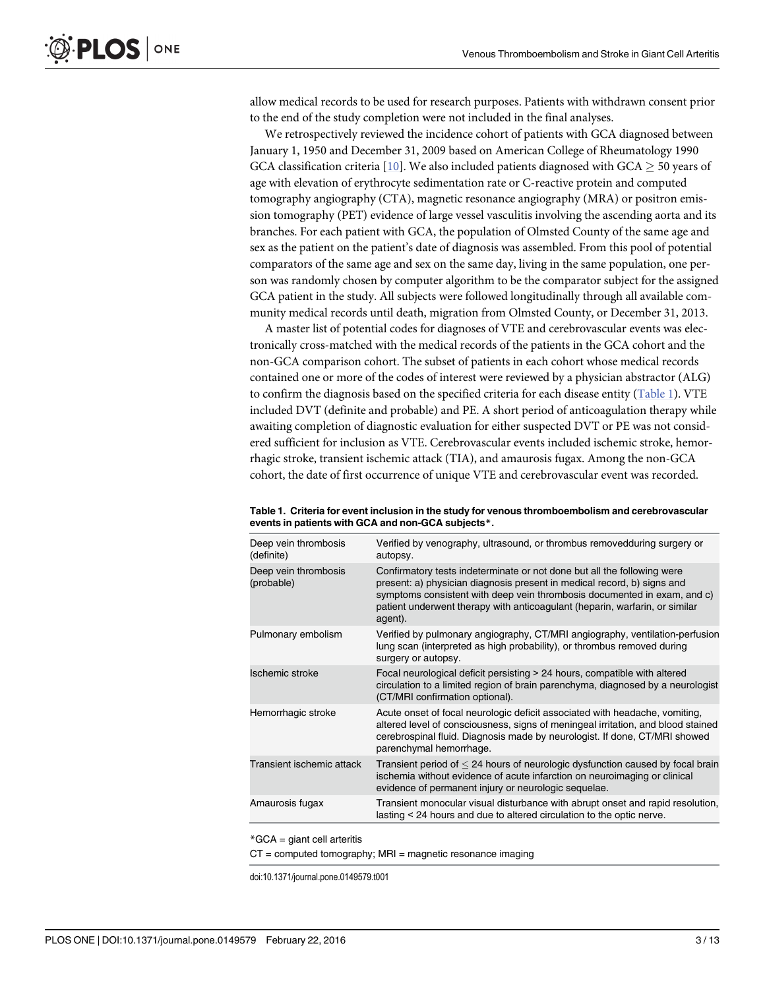<span id="page-2-0"></span>allow medical records to be used for research purposes. Patients with withdrawn consent prior to the end of the study completion were not included in the final analyses.

We retrospectively reviewed the incidence cohort of patients with GCA diagnosed between January 1, 1950 and December 31, 2009 based on American College of Rheumatology 1990 GCA classification criteria [[10\]](#page-11-0). We also included patients diagnosed with  $GCA > 50$  years of age with elevation of erythrocyte sedimentation rate or C-reactive protein and computed tomography angiography (CTA), magnetic resonance angiography (MRA) or positron emission tomography (PET) evidence of large vessel vasculitis involving the ascending aorta and its branches. For each patient with GCA, the population of Olmsted County of the same age and sex as the patient on the patient's date of diagnosis was assembled. From this pool of potential comparators of the same age and sex on the same day, living in the same population, one person was randomly chosen by computer algorithm to be the comparator subject for the assigned GCA patient in the study. All subjects were followed longitudinally through all available community medical records until death, migration from Olmsted County, or December 31, 2013.

A master list of potential codes for diagnoses of VTE and cerebrovascular events was electronically cross-matched with the medical records of the patients in the GCA cohort and the non-GCA comparison cohort. The subset of patients in each cohort whose medical records contained one or more of the codes of interest were reviewed by a physician abstractor (ALG) to confirm the diagnosis based on the specified criteria for each disease entity (Table 1). VTE included DVT (definite and probable) and PE. A short period of anticoagulation therapy while awaiting completion of diagnostic evaluation for either suspected DVT or PE was not considered sufficient for inclusion as VTE. Cerebrovascular events included ischemic stroke, hemorrhagic stroke, transient ischemic attack (TIA), and amaurosis fugax. Among the non-GCA cohort, the date of first occurrence of unique VTE and cerebrovascular event was recorded.

| Deep vein thrombosis<br>(definite) | Verified by venography, ultrasound, or thrombus removedduring surgery or<br>autopsy.                                                                                                                                                                                                                                     |
|------------------------------------|--------------------------------------------------------------------------------------------------------------------------------------------------------------------------------------------------------------------------------------------------------------------------------------------------------------------------|
| Deep vein thrombosis<br>(probable) | Confirmatory tests indeterminate or not done but all the following were<br>present: a) physician diagnosis present in medical record, b) signs and<br>symptoms consistent with deep vein thrombosis documented in exam, and c)<br>patient underwent therapy with anticoagulant (heparin, warfarin, or similar<br>agent). |
| Pulmonary embolism                 | Verified by pulmonary angiography, CT/MRI angiography, ventilation-perfusion<br>lung scan (interpreted as high probability), or thrombus removed during<br>surgery or autopsy.                                                                                                                                           |
| Ischemic stroke                    | Focal neurological deficit persisting > 24 hours, compatible with altered<br>circulation to a limited region of brain parenchyma, diagnosed by a neurologist<br>(CT/MRI confirmation optional).                                                                                                                          |
| Hemorrhagic stroke                 | Acute onset of focal neurologic deficit associated with headache, vomiting,<br>altered level of consciousness, signs of meningeal irritation, and blood stained<br>cerebrospinal fluid. Diagnosis made by neurologist. If done, CT/MRI showed<br>parenchymal hemorrhage.                                                 |
| Transient ischemic attack          | Transient period of $\leq$ 24 hours of neurologic dysfunction caused by focal brain<br>ischemia without evidence of acute infarction on neuroimaging or clinical<br>evidence of permanent injury or neurologic sequelae.                                                                                                 |
| Amaurosis fugax                    | Transient monocular visual disturbance with abrupt onset and rapid resolution,<br>lasting < 24 hours and due to altered circulation to the optic nerve.                                                                                                                                                                  |

Table 1. Criteria for event inclusion in the study for venous thromboembolism and cerebrovascular events in patients with GCA and non-GCA subjects\*.

\*GCA = giant cell arteritis

 $CT = computed tomography$ ;  $MRI = magnetic resonance imaging$ 

doi:10.1371/journal.pone.0149579.t001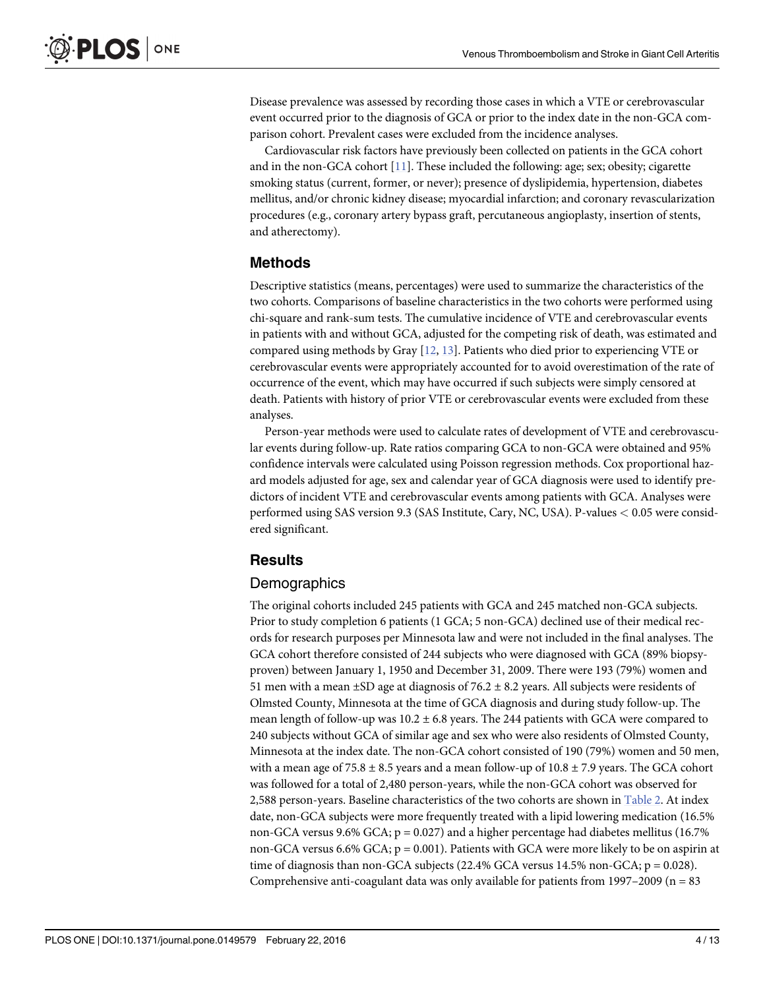<span id="page-3-0"></span>Disease prevalence was assessed by recording those cases in which a VTE or cerebrovascular event occurred prior to the diagnosis of GCA or prior to the index date in the non-GCA comparison cohort. Prevalent cases were excluded from the incidence analyses.

Cardiovascular risk factors have previously been collected on patients in the GCA cohort and in the non-GCA cohort [\[11\]](#page-11-0). These included the following: age; sex; obesity; cigarette smoking status (current, former, or never); presence of dyslipidemia, hypertension, diabetes mellitus, and/or chronic kidney disease; myocardial infarction; and coronary revascularization procedures (e.g., coronary artery bypass graft, percutaneous angioplasty, insertion of stents, and atherectomy).

#### Methods

Descriptive statistics (means, percentages) were used to summarize the characteristics of the two cohorts. Comparisons of baseline characteristics in the two cohorts were performed using chi-square and rank-sum tests. The cumulative incidence of VTE and cerebrovascular events in patients with and without GCA, adjusted for the competing risk of death, was estimated and compared using methods by Gray [[12](#page-11-0), [13](#page-11-0)]. Patients who died prior to experiencing VTE or cerebrovascular events were appropriately accounted for to avoid overestimation of the rate of occurrence of the event, which may have occurred if such subjects were simply censored at death. Patients with history of prior VTE or cerebrovascular events were excluded from these analyses.

Person-year methods were used to calculate rates of development of VTE and cerebrovascular events during follow-up. Rate ratios comparing GCA to non-GCA were obtained and 95% confidence intervals were calculated using Poisson regression methods. Cox proportional hazard models adjusted for age, sex and calendar year of GCA diagnosis were used to identify predictors of incident VTE and cerebrovascular events among patients with GCA. Analyses were performed using SAS version 9.3 (SAS Institute, Cary, NC, USA). P-values < 0.05 were considered significant.

# Results

# **Demographics**

The original cohorts included 245 patients with GCA and 245 matched non-GCA subjects. Prior to study completion 6 patients (1 GCA; 5 non-GCA) declined use of their medical records for research purposes per Minnesota law and were not included in the final analyses. The GCA cohort therefore consisted of 244 subjects who were diagnosed with GCA (89% biopsyproven) between January 1, 1950 and December 31, 2009. There were 193 (79%) women and 51 men with a mean  $\pm$ SD age at diagnosis of 76.2  $\pm$  8.2 years. All subjects were residents of Olmsted County, Minnesota at the time of GCA diagnosis and during study follow-up. The mean length of follow-up was  $10.2 \pm 6.8$  years. The 244 patients with GCA were compared to 240 subjects without GCA of similar age and sex who were also residents of Olmsted County, Minnesota at the index date. The non-GCA cohort consisted of 190 (79%) women and 50 men, with a mean age of 75.8  $\pm$  8.5 years and a mean follow-up of 10.8  $\pm$  7.9 years. The GCA cohort was followed for a total of 2,480 person-years, while the non-GCA cohort was observed for 2,588 person-years. Baseline characteristics of the two cohorts are shown in [Table 2.](#page-4-0) At index date, non-GCA subjects were more frequently treated with a lipid lowering medication (16.5% non-GCA versus 9.6% GCA;  $p = 0.027$ ) and a higher percentage had diabetes mellitus (16.7%) non-GCA versus 6.6% GCA;  $p = 0.001$ ). Patients with GCA were more likely to be on aspirin at time of diagnosis than non-GCA subjects  $(22.4\%$  GCA versus 14.5% non-GCA;  $p = 0.028$ ). Comprehensive anti-coagulant data was only available for patients from  $1997-2009$  (n = 83)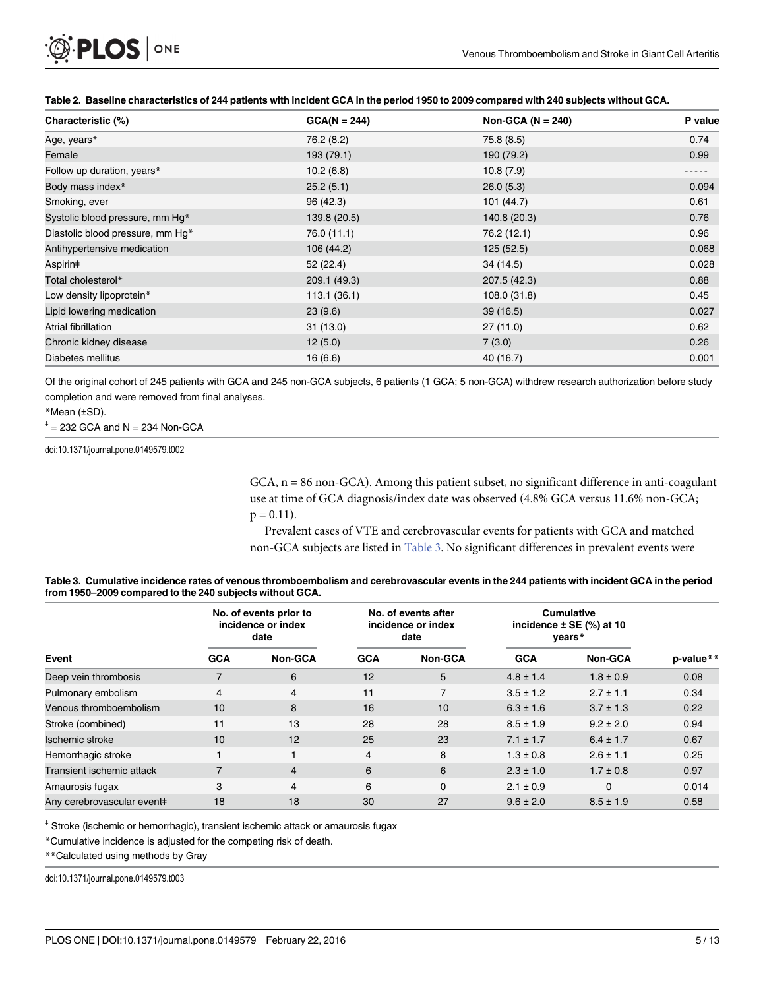<span id="page-4-0"></span>

#### [Table 2.](#page-3-0) Baseline characteristics of 244 patients with incident GCA in the period 1950 to 2009 compared with 240 subjects without GCA.

| Characteristic (%)               | $GCA(N = 244)$ | Non-GCA ( $N = 240$ ) | P value |
|----------------------------------|----------------|-----------------------|---------|
| Age, years*                      | 76.2 (8.2)     | 75.8(8.5)             | 0.74    |
| Female                           | 193 (79.1)     | 190 (79.2)            | 0.99    |
| Follow up duration, years*       | 10.2(6.8)      | 10.8(7.9)             |         |
| Body mass index*                 | 25.2(5.1)      | 26.0(5.3)             | 0.094   |
| Smoking, ever                    | 96 (42.3)      | 101(44.7)             | 0.61    |
| Systolic blood pressure, mm Hg*  | 139.8 (20.5)   | 140.8 (20.3)          | 0.76    |
| Diastolic blood pressure, mm Hg* | 76.0 (11.1)    | 76.2 (12.1)           | 0.96    |
| Antihypertensive medication      | 106 (44.2)     | 125(52.5)             | 0.068   |
| Aspirin‡                         | 52(22.4)       | 34 (14.5)             | 0.028   |
| Total cholesterol*               | 209.1 (49.3)   | 207.5 (42.3)          | 0.88    |
| Low density lipoprotein*         | 113.1(36.1)    | 108.0 (31.8)          | 0.45    |
| Lipid lowering medication        | 23(9.6)        | 39(16.5)              | 0.027   |
| Atrial fibrillation              | 31(13.0)       | 27(11.0)              | 0.62    |
| Chronic kidney disease           | 12(5.0)        | 7(3.0)                | 0.26    |
| Diabetes mellitus                | 16(6.6)        | 40 (16.7)             | 0.001   |

Of the original cohort of 245 patients with GCA and 245 non-GCA subjects, 6 patients (1 GCA; 5 non-GCA) withdrew research authorization before study completion and were removed from final analyses.

\*Mean (±SD).

 $*$  = 232 GCA and N = 234 Non-GCA

doi:10.1371/journal.pone.0149579.t002

GCA,  $n = 86$  non-GCA). Among this patient subset, no significant difference in anti-coagulant use at time of GCA diagnosis/index date was observed (4.8% GCA versus 11.6% non-GCA;  $p = 0.11$ ).

Prevalent cases of VTE and cerebrovascular events for patients with GCA and matched non-GCA subjects are listed in Table 3. No significant differences in prevalent events were

|                                                          | Table 3. Cumulative incidence rates of venous thromboembolism and cerebrovascular events in the 244 patients with incident GCA in the period |
|----------------------------------------------------------|----------------------------------------------------------------------------------------------------------------------------------------------|
| from 1950–2009 compared to the 240 subjects without GCA. |                                                                                                                                              |

|                            | No. of events prior to<br>incidence or index<br>date |                | No. of events after<br>incidence or index<br>date |         | <b>Cumulative</b><br>incidence $\pm$ SE (%) at 10<br>years* |                |           |
|----------------------------|------------------------------------------------------|----------------|---------------------------------------------------|---------|-------------------------------------------------------------|----------------|-----------|
| Event                      | <b>GCA</b>                                           | Non-GCA        | <b>GCA</b>                                        | Non-GCA | <b>GCA</b>                                                  | <b>Non-GCA</b> | p-value** |
| Deep vein thrombosis       |                                                      | 6              | 12                                                | 5       | $4.8 \pm 1.4$                                               | $1.8 \pm 0.9$  | 0.08      |
| Pulmonary embolism         | $\overline{4}$                                       | 4              | 11                                                | 7       | $3.5 \pm 1.2$                                               | $2.7 \pm 1.1$  | 0.34      |
| Venous thromboembolism     | 10                                                   | 8              | 16                                                | 10      | $6.3 \pm 1.6$                                               | $3.7 \pm 1.3$  | 0.22      |
| Stroke (combined)          | 11                                                   | 13             | 28                                                | 28      | $8.5 \pm 1.9$                                               | $9.2 \pm 2.0$  | 0.94      |
| Ischemic stroke            | 10                                                   | 12             | 25                                                | 23      | $7.1 \pm 1.7$                                               | $6.4 \pm 1.7$  | 0.67      |
| Hemorrhagic stroke         |                                                      |                | 4                                                 | 8       | $1.3 \pm 0.8$                                               | $2.6 \pm 1.1$  | 0.25      |
| Transient ischemic attack  |                                                      | $\overline{4}$ | 6                                                 | 6       | $2.3 \pm 1.0$                                               | $1.7 \pm 0.8$  | 0.97      |
| Amaurosis fugax            | 3                                                    | 4              | 6                                                 | 0       | $2.1 \pm 0.9$                                               | 0              | 0.014     |
| Any cerebrovascular event+ | 18                                                   | 18             | 30                                                | 27      | $9.6 \pm 2.0$                                               | $8.5 \pm 1.9$  | 0.58      |

<sup>ǂ</sup> Stroke (ischemic or hemorrhagic), transient ischemic attack or amaurosis fugax

\*Cumulative incidence is adjusted for the competing risk of death.

\*\*Calculated using methods by Gray

doi:10.1371/journal.pone.0149579.t003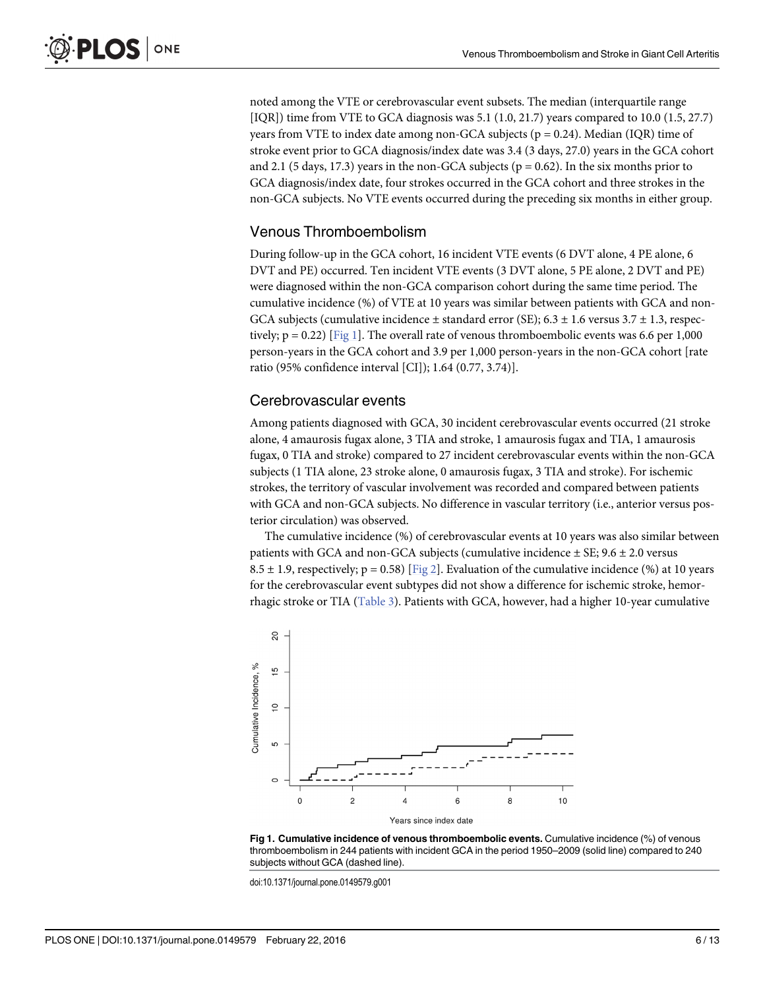<span id="page-5-0"></span>noted among the VTE or cerebrovascular event subsets. The median (interquartile range [IQR]) time from VTE to GCA diagnosis was 5.1 (1.0, 21.7) years compared to 10.0 (1.5, 27.7) years from VTE to index date among non-GCA subjects ( $p = 0.24$ ). Median (IQR) time of stroke event prior to GCA diagnosis/index date was 3.4 (3 days, 27.0) years in the GCA cohort and 2.1 (5 days, 17.3) years in the non-GCA subjects ( $p = 0.62$ ). In the six months prior to GCA diagnosis/index date, four strokes occurred in the GCA cohort and three strokes in the non-GCA subjects. No VTE events occurred during the preceding six months in either group.

# Venous Thromboembolism

During follow-up in the GCA cohort, 16 incident VTE events (6 DVT alone, 4 PE alone, 6 DVT and PE) occurred. Ten incident VTE events (3 DVT alone, 5 PE alone, 2 DVT and PE) were diagnosed within the non-GCA comparison cohort during the same time period. The cumulative incidence (%) of VTE at 10 years was similar between patients with GCA and non-GCA subjects (cumulative incidence  $\pm$  standard error (SE); 6.3  $\pm$  1.6 versus 3.7  $\pm$  1.3, respectively;  $p = 0.22$  [Fig 1]. The overall rate of venous thromboembolic events was 6.6 per 1,000 person-years in the GCA cohort and 3.9 per 1,000 person-years in the non-GCA cohort [rate ratio (95% confidence interval [CI]); 1.64 (0.77, 3.74)].

#### Cerebrovascular events

Among patients diagnosed with GCA, 30 incident cerebrovascular events occurred (21 stroke alone, 4 amaurosis fugax alone, 3 TIA and stroke, 1 amaurosis fugax and TIA, 1 amaurosis fugax, 0 TIA and stroke) compared to 27 incident cerebrovascular events within the non-GCA subjects (1 TIA alone, 23 stroke alone, 0 amaurosis fugax, 3 TIA and stroke). For ischemic strokes, the territory of vascular involvement was recorded and compared between patients with GCA and non-GCA subjects. No difference in vascular territory (i.e., anterior versus posterior circulation) was observed.

The cumulative incidence (%) of cerebrovascular events at 10 years was also similar between patients with GCA and non-GCA subjects (cumulative incidence  $\pm$  SE; 9.6  $\pm$  2.0 versus 8.5  $\pm$  1.9, respectively; p = 0.58) [[Fig 2](#page-6-0)]. Evaluation of the cumulative incidence (%) at 10 years for the cerebrovascular event subtypes did not show a difference for ischemic stroke, hemorrhagic stroke or TIA [\(Table 3\)](#page-4-0). Patients with GCA, however, had a higher 10-year cumulative





doi:10.1371/journal.pone.0149579.g001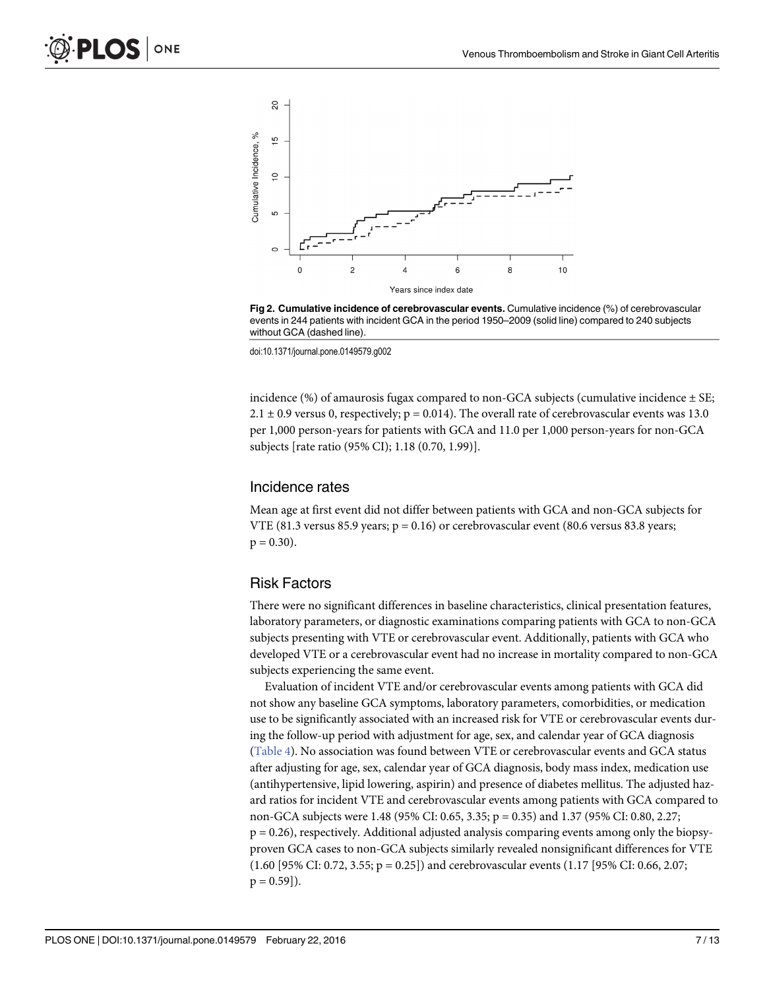<span id="page-6-0"></span>

[Fig 2. C](#page-5-0)umulative incidence of cerebrovascular events. Cumulative incidence (%) of cerebrovascular events in 244 patients with incident GCA in the period 1950–2009 (solid line) compared to 240 subjects without GCA (dashed line).

doi:10.1371/journal.pone.0149579.g002

incidence  $%$  of amaurosis fugax compared to non-GCA subjects (cumulative incidence  $\pm$  SE;  $2.1 \pm 0.9$  versus 0, respectively;  $p = 0.014$ ). The overall rate of cerebrovascular events was 13.0 per 1,000 person-years for patients with GCA and 11.0 per 1,000 person-years for non-GCA subjects [rate ratio (95% CI); 1.18 (0.70, 1.99)].

#### Incidence rates

Mean age at first event did not differ between patients with GCA and non-GCA subjects for VTE (81.3 versus 85.9 years;  $p = 0.16$ ) or cerebrovascular event (80.6 versus 83.8 years;  $p = 0.30$ ).

# Risk Factors

There were no significant differences in baseline characteristics, clinical presentation features, laboratory parameters, or diagnostic examinations comparing patients with GCA to non-GCA subjects presenting with VTE or cerebrovascular event. Additionally, patients with GCA who developed VTE or a cerebrovascular event had no increase in mortality compared to non-GCA subjects experiencing the same event.

Evaluation of incident VTE and/or cerebrovascular events among patients with GCA did not show any baseline GCA symptoms, laboratory parameters, comorbidities, or medication use to be significantly associated with an increased risk for VTE or cerebrovascular events during the follow-up period with adjustment for age, sex, and calendar year of GCA diagnosis [\(Table 4\)](#page-7-0). No association was found between VTE or cerebrovascular events and GCA status after adjusting for age, sex, calendar year of GCA diagnosis, body mass index, medication use (antihypertensive, lipid lowering, aspirin) and presence of diabetes mellitus. The adjusted hazard ratios for incident VTE and cerebrovascular events among patients with GCA compared to non-GCA subjects were 1.48 (95% CI: 0.65, 3.35; p = 0.35) and 1.37 (95% CI: 0.80, 2.27;  $p = 0.26$ ), respectively. Additional adjusted analysis comparing events among only the biopsyproven GCA cases to non-GCA subjects similarly revealed nonsignificant differences for VTE (1.60 [95% CI: 0.72, 3.55; p = 0.25]) and cerebrovascular events (1.17 [95% CI: 0.66, 2.07;  $p = 0.59$ ]).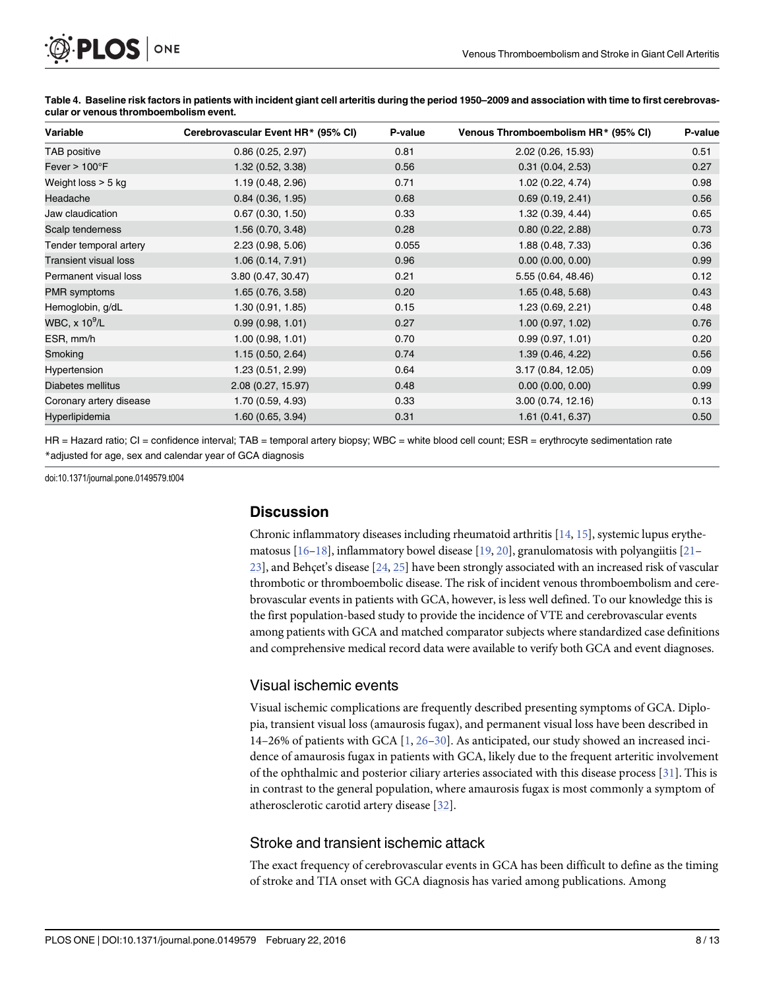<span id="page-7-0"></span>

| Variable                     | Cerebrovascular Event HR* (95% CI) | P-value | Venous Thromboembolism HR* (95% CI) | P-value |
|------------------------------|------------------------------------|---------|-------------------------------------|---------|
| TAB positive                 | 0.86(0.25, 2.97)                   | 0.81    | 2.02 (0.26, 15.93)                  | 0.51    |
| Fever $> 100^{\circ}$ F      | 1.32 (0.52, 3.38)                  | 0.56    | 0.31(0.04, 2.53)                    | 0.27    |
| Weight loss $>$ 5 kg         | 1.19 (0.48, 2.96)                  | 0.71    | 1.02 (0.22, 4.74)                   | 0.98    |
| Headache                     | 0.84(0.36, 1.95)                   | 0.68    | 0.69(0.19, 2.41)                    | 0.56    |
| Jaw claudication             | 0.67(0.30, 1.50)                   | 0.33    | 1.32(0.39, 4.44)                    | 0.65    |
| Scalp tenderness             | 1.56(0.70, 3.48)                   | 0.28    | 0.80(0.22, 2.88)                    | 0.73    |
| Tender temporal artery       | 2.23(0.98, 5.06)                   | 0.055   | 1.88 (0.48, 7.33)                   | 0.36    |
| <b>Transient visual loss</b> | 1.06(0.14, 7.91)                   | 0.96    | 0.00(0.00, 0.00)                    | 0.99    |
| Permanent visual loss        | 3.80 (0.47, 30.47)                 | 0.21    | 5.55 (0.64, 48.46)                  | 0.12    |
| <b>PMR</b> symptoms          | 1.65(0.76, 3.58)                   | 0.20    | 1.65(0.48, 5.68)                    | 0.43    |
| Hemoglobin, g/dL             | 1.30(0.91, 1.85)                   | 0.15    | 1.23(0.69, 2.21)                    | 0.48    |
| WBC, x $10^9$ /L             | 0.99(0.98, 1.01)                   | 0.27    | 1.00(0.97, 1.02)                    | 0.76    |
| ESR, mm/h                    | 1.00(0.98, 1.01)                   | 0.70    | 0.99(0.97, 1.01)                    | 0.20    |
| Smoking                      | 1.15(0.50, 2.64)                   | 0.74    | 1.39 (0.46, 4.22)                   | 0.56    |
| Hypertension                 | 1.23 (0.51, 2.99)                  | 0.64    | 3.17 (0.84, 12.05)                  | 0.09    |
| Diabetes mellitus            | 2.08 (0.27, 15.97)                 | 0.48    | 0.00(0.00, 0.00)                    | 0.99    |
| Coronary artery disease      | 1.70 (0.59, 4.93)                  | 0.33    | 3.00(0.74, 12.16)                   | 0.13    |
| Hyperlipidemia               | 1.60 (0.65, 3.94)                  | 0.31    | 1.61(0.41, 6.37)                    | 0.50    |

[Table 4.](#page-6-0) Baseline risk factors in patients with incident giant cell arteritis during the period 1950–2009 and association with time to first cerebrovascular or venous thromboembolism event.

HR = Hazard ratio; CI = confidence interval; TAB = temporal artery biopsy; WBC = white blood cell count; ESR = erythrocyte sedimentation rate \*adjusted for age, sex and calendar year of GCA diagnosis

doi:10.1371/journal.pone.0149579.t004

#### **Discussion**

Chronic inflammatory diseases including rheumatoid arthritis [\[14,](#page-11-0) [15\]](#page-11-0), systemic lupus erythematosus  $[16–18]$  $[16–18]$  $[16–18]$ , inflammatory bowel disease  $[19, 20]$  $[19, 20]$  $[19, 20]$  $[19, 20]$ , granulomatosis with polyangiitis  $[21–$  $[21–$ [23](#page-11-0)], and Behçet's disease [\[24](#page-11-0), [25](#page-11-0)] have been strongly associated with an increased risk of vascular thrombotic or thromboembolic disease. The risk of incident venous thromboembolism and cerebrovascular events in patients with GCA, however, is less well defined. To our knowledge this is the first population-based study to provide the incidence of VTE and cerebrovascular events among patients with GCA and matched comparator subjects where standardized case definitions and comprehensive medical record data were available to verify both GCA and event diagnoses.

# Visual ischemic events

Visual ischemic complications are frequently described presenting symptoms of GCA. Diplopia, transient visual loss (amaurosis fugax), and permanent visual loss have been described in 14–[26](#page-11-0)% of patients with GCA  $[1, 26-30]$  $[1, 26-30]$  $[1, 26-30]$  $[1, 26-30]$  $[1, 26-30]$ . As anticipated, our study showed an increased incidence of amaurosis fugax in patients with GCA, likely due to the frequent arteritic involvement of the ophthalmic and posterior ciliary arteries associated with this disease process [[31](#page-12-0)]. This is in contrast to the general population, where amaurosis fugax is most commonly a symptom of atherosclerotic carotid artery disease [\[32\]](#page-12-0).

# Stroke and transient ischemic attack

The exact frequency of cerebrovascular events in GCA has been difficult to define as the timing of stroke and TIA onset with GCA diagnosis has varied among publications. Among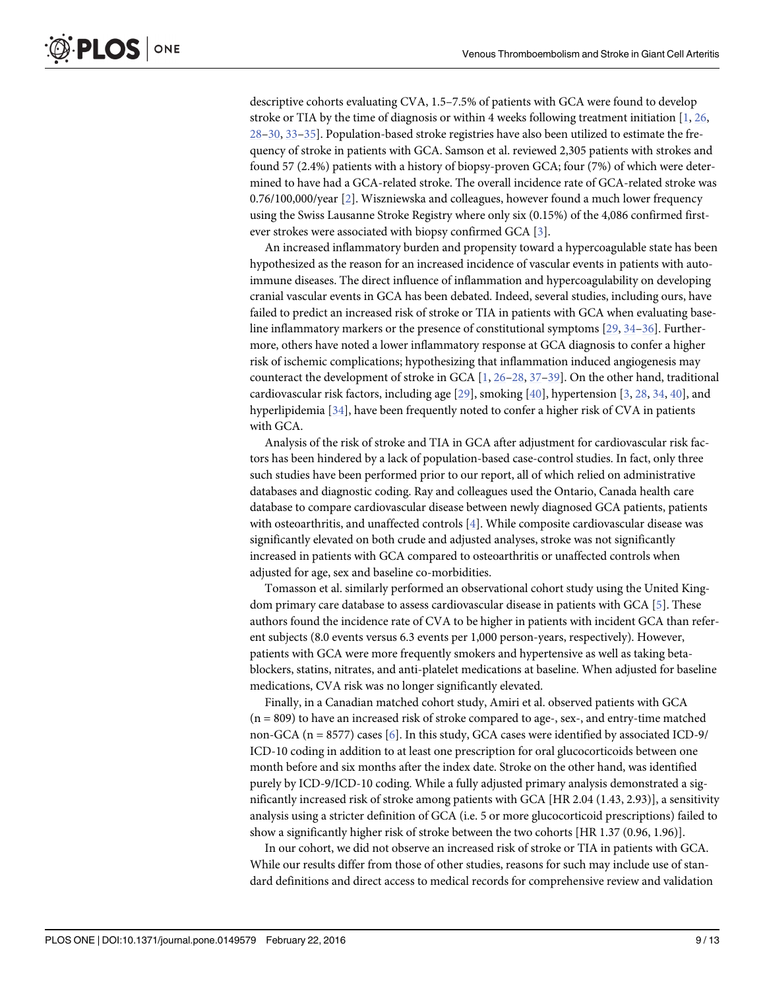<span id="page-8-0"></span>descriptive cohorts evaluating CVA, 1.5–7.5% of patients with GCA were found to develop stroke or TIA by the time of diagnosis or within 4 weeks following treatment initiation [[1,](#page-10-0) [26,](#page-11-0) [28](#page-11-0)–[30](#page-12-0), [33](#page-12-0)–[35\]](#page-12-0). Population-based stroke registries have also been utilized to estimate the frequency of stroke in patients with GCA. Samson et al. reviewed 2,305 patients with strokes and found 57 (2.4%) patients with a history of biopsy-proven GCA; four (7%) of which were determined to have had a GCA-related stroke. The overall incidence rate of GCA-related stroke was 0.76/100,000/year [\[2](#page-10-0)]. Wiszniewska and colleagues, however found a much lower frequency using the Swiss Lausanne Stroke Registry where only six (0.15%) of the 4,086 confirmed firstever strokes were associated with biopsy confirmed GCA [\[3](#page-10-0)].

An increased inflammatory burden and propensity toward a hypercoagulable state has been hypothesized as the reason for an increased incidence of vascular events in patients with autoimmune diseases. The direct influence of inflammation and hypercoagulability on developing cranial vascular events in GCA has been debated. Indeed, several studies, including ours, have failed to predict an increased risk of stroke or TIA in patients with GCA when evaluating baseline inflammatory markers or the presence of constitutional symptoms  $[29, 34-36]$  $[29, 34-36]$  $[29, 34-36]$  $[29, 34-36]$  $[29, 34-36]$ . Furthermore, others have noted a lower inflammatory response at GCA diagnosis to confer a higher risk of ischemic complications; hypothesizing that inflammation induced angiogenesis may counteract the development of stroke in GCA  $[1, 26-28, 37-39]$  $[1, 26-28, 37-39]$  $[1, 26-28, 37-39]$  $[1, 26-28, 37-39]$  $[1, 26-28, 37-39]$  $[1, 26-28, 37-39]$  $[1, 26-28, 37-39]$  $[1, 26-28, 37-39]$  $[1, 26-28, 37-39]$  $[1, 26-28, 37-39]$ . On the other hand, traditional cardiovascular risk factors, including age [[29](#page-12-0)], smoking [\[40\]](#page-12-0), hypertension [\[3](#page-10-0), [28](#page-11-0), [34](#page-12-0), [40](#page-12-0)], and hyperlipidemia [[34\]](#page-12-0), have been frequently noted to confer a higher risk of CVA in patients with GCA.

Analysis of the risk of stroke and TIA in GCA after adjustment for cardiovascular risk factors has been hindered by a lack of population-based case-control studies. In fact, only three such studies have been performed prior to our report, all of which relied on administrative databases and diagnostic coding. Ray and colleagues used the Ontario, Canada health care database to compare cardiovascular disease between newly diagnosed GCA patients, patients with osteoarthritis, and unaffected controls [\[4\]](#page-10-0). While composite cardiovascular disease was significantly elevated on both crude and adjusted analyses, stroke was not significantly increased in patients with GCA compared to osteoarthritis or unaffected controls when adjusted for age, sex and baseline co-morbidities.

Tomasson et al. similarly performed an observational cohort study using the United Kingdom primary care database to assess cardiovascular disease in patients with GCA [\[5](#page-10-0)]. These authors found the incidence rate of CVA to be higher in patients with incident GCA than referent subjects (8.0 events versus 6.3 events per 1,000 person-years, respectively). However, patients with GCA were more frequently smokers and hypertensive as well as taking betablockers, statins, nitrates, and anti-platelet medications at baseline. When adjusted for baseline medications, CVA risk was no longer significantly elevated.

Finally, in a Canadian matched cohort study, Amiri et al. observed patients with GCA (n = 809) to have an increased risk of stroke compared to age-, sex-, and entry-time matched non-GCA (n = 8577) cases [[6](#page-10-0)]. In this study, GCA cases were identified by associated ICD-9/ ICD-10 coding in addition to at least one prescription for oral glucocorticoids between one month before and six months after the index date. Stroke on the other hand, was identified purely by ICD-9/ICD-10 coding. While a fully adjusted primary analysis demonstrated a significantly increased risk of stroke among patients with GCA [HR 2.04 (1.43, 2.93)], a sensitivity analysis using a stricter definition of GCA (i.e. 5 or more glucocorticoid prescriptions) failed to show a significantly higher risk of stroke between the two cohorts [HR 1.37 (0.96, 1.96)].

In our cohort, we did not observe an increased risk of stroke or TIA in patients with GCA. While our results differ from those of other studies, reasons for such may include use of standard definitions and direct access to medical records for comprehensive review and validation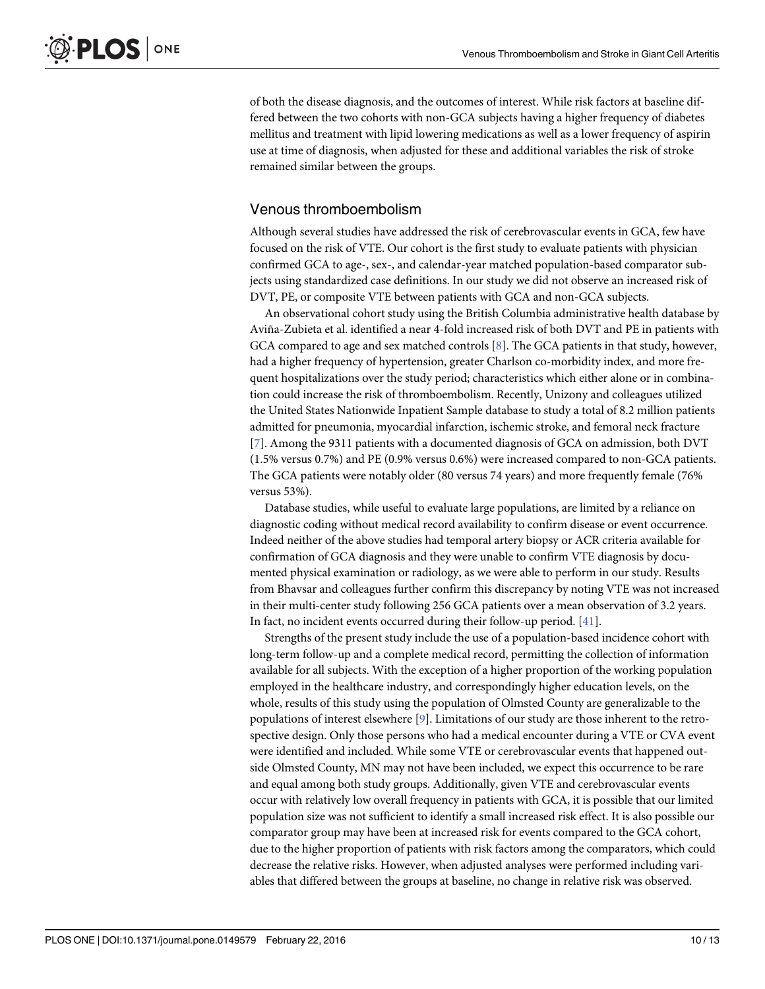<span id="page-9-0"></span>of both the disease diagnosis, and the outcomes of interest. While risk factors at baseline differed between the two cohorts with non-GCA subjects having a higher frequency of diabetes mellitus and treatment with lipid lowering medications as well as a lower frequency of aspirin use at time of diagnosis, when adjusted for these and additional variables the risk of stroke remained similar between the groups.

#### Venous thromboembolism

Although several studies have addressed the risk of cerebrovascular events in GCA, few have focused on the risk of VTE. Our cohort is the first study to evaluate patients with physician confirmed GCA to age-, sex-, and calendar-year matched population-based comparator subjects using standardized case definitions. In our study we did not observe an increased risk of DVT, PE, or composite VTE between patients with GCA and non-GCA subjects.

An observational cohort study using the British Columbia administrative health database by Aviña-Zubieta et al. identified a near 4-fold increased risk of both DVT and PE in patients with GCA compared to age and sex matched controls [\[8\]](#page-10-0). The GCA patients in that study, however, had a higher frequency of hypertension, greater Charlson co-morbidity index, and more frequent hospitalizations over the study period; characteristics which either alone or in combination could increase the risk of thromboembolism. Recently, Unizony and colleagues utilized the United States Nationwide Inpatient Sample database to study a total of 8.2 million patients admitted for pneumonia, myocardial infarction, ischemic stroke, and femoral neck fracture [\[7](#page-10-0)]. Among the 9311 patients with a documented diagnosis of GCA on admission, both DVT (1.5% versus 0.7%) and PE (0.9% versus 0.6%) were increased compared to non-GCA patients. The GCA patients were notably older (80 versus 74 years) and more frequently female (76% versus 53%).

Database studies, while useful to evaluate large populations, are limited by a reliance on diagnostic coding without medical record availability to confirm disease or event occurrence. Indeed neither of the above studies had temporal artery biopsy or ACR criteria available for confirmation of GCA diagnosis and they were unable to confirm VTE diagnosis by documented physical examination or radiology, as we were able to perform in our study. Results from Bhavsar and colleagues further confirm this discrepancy by noting VTE was not increased in their multi-center study following 256 GCA patients over a mean observation of 3.2 years. In fact, no incident events occurred during their follow-up period. [\[41\]](#page-12-0).

Strengths of the present study include the use of a population-based incidence cohort with long-term follow-up and a complete medical record, permitting the collection of information available for all subjects. With the exception of a higher proportion of the working population employed in the healthcare industry, and correspondingly higher education levels, on the whole, results of this study using the population of Olmsted County are generalizable to the populations of interest elsewhere [[9](#page-10-0)]. Limitations of our study are those inherent to the retrospective design. Only those persons who had a medical encounter during a VTE or CVA event were identified and included. While some VTE or cerebrovascular events that happened outside Olmsted County, MN may not have been included, we expect this occurrence to be rare and equal among both study groups. Additionally, given VTE and cerebrovascular events occur with relatively low overall frequency in patients with GCA, it is possible that our limited population size was not sufficient to identify a small increased risk effect. It is also possible our comparator group may have been at increased risk for events compared to the GCA cohort, due to the higher proportion of patients with risk factors among the comparators, which could decrease the relative risks. However, when adjusted analyses were performed including variables that differed between the groups at baseline, no change in relative risk was observed.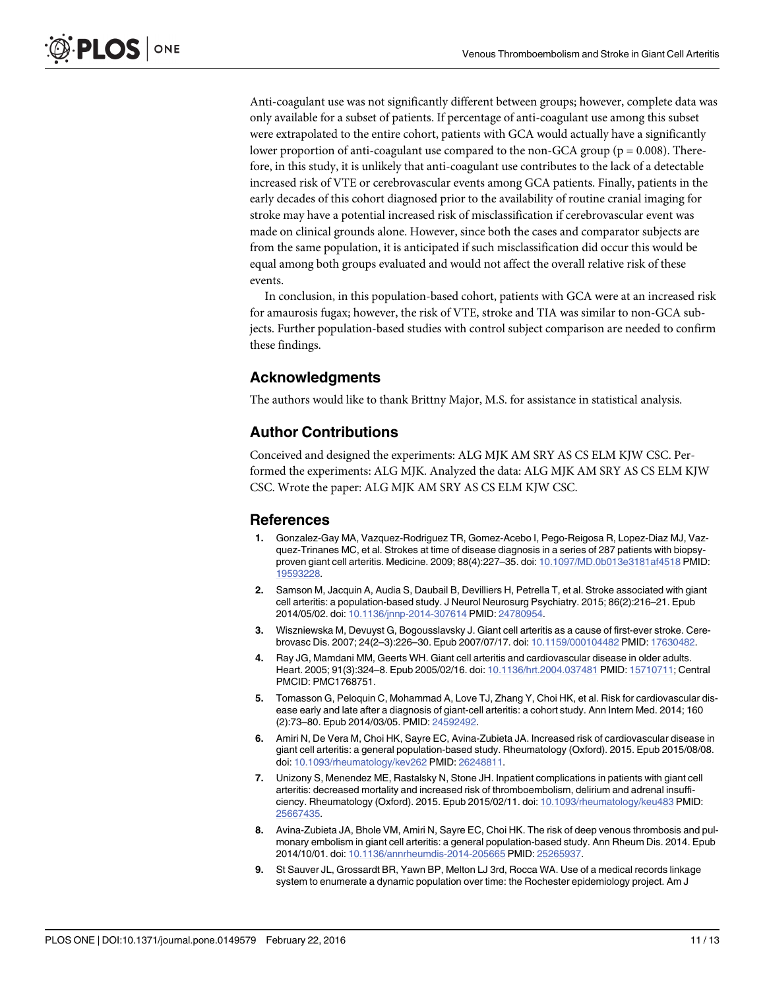<span id="page-10-0"></span>Anti-coagulant use was not significantly different between groups; however, complete data was only available for a subset of patients. If percentage of anti-coagulant use among this subset were extrapolated to the entire cohort, patients with GCA would actually have a significantly lower proportion of anti-coagulant use compared to the non-GCA group ( $p = 0.008$ ). Therefore, in this study, it is unlikely that anti-coagulant use contributes to the lack of a detectable increased risk of VTE or cerebrovascular events among GCA patients. Finally, patients in the early decades of this cohort diagnosed prior to the availability of routine cranial imaging for stroke may have a potential increased risk of misclassification if cerebrovascular event was made on clinical grounds alone. However, since both the cases and comparator subjects are from the same population, it is anticipated if such misclassification did occur this would be equal among both groups evaluated and would not affect the overall relative risk of these events.

In conclusion, in this population-based cohort, patients with GCA were at an increased risk for amaurosis fugax; however, the risk of VTE, stroke and TIA was similar to non-GCA subjects. Further population-based studies with control subject comparison are needed to confirm these findings.

# Acknowledgments

The authors would like to thank Brittny Major, M.S. for assistance in statistical analysis.

# Author Contributions

Conceived and designed the experiments: ALG MJK AM SRY AS CS ELM KJW CSC. Performed the experiments: ALG MJK. Analyzed the data: ALG MJK AM SRY AS CS ELM KJW CSC. Wrote the paper: ALG MJK AM SRY AS CS ELM KJW CSC.

#### References

- [1.](#page-1-0) Gonzalez-Gay MA, Vazquez-Rodriguez TR, Gomez-Acebo I, Pego-Reigosa R, Lopez-Diaz MJ, Vazquez-Trinanes MC, et al. Strokes at time of disease diagnosis in a series of 287 patients with biopsyproven giant cell arteritis. Medicine. 2009; 88(4):227–35. doi: [10.1097/MD.0b013e3181af4518](http://dx.doi.org/10.1097/MD.0b013e3181af4518) PMID: [19593228](http://www.ncbi.nlm.nih.gov/pubmed/19593228).
- [2.](#page-8-0) Samson M, Jacquin A, Audia S, Daubail B, Devilliers H, Petrella T, et al. Stroke associated with giant cell arteritis: a population-based study. J Neurol Neurosurg Psychiatry. 2015; 86(2):216–21. Epub 2014/05/02. doi: [10.1136/jnnp-2014-307614](http://dx.doi.org/10.1136/jnnp-2014-307614) PMID: [24780954](http://www.ncbi.nlm.nih.gov/pubmed/24780954).
- [3.](#page-1-0) Wiszniewska M, Devuyst G, Bogousslavsky J. Giant cell arteritis as a cause of first-ever stroke. Cerebrovasc Dis. 2007; 24(2–3):226–30. Epub 2007/07/17. doi: [10.1159/000104482](http://dx.doi.org/10.1159/000104482) PMID: [17630482](http://www.ncbi.nlm.nih.gov/pubmed/17630482).
- [4.](#page-1-0) Ray JG, Mamdani MM, Geerts WH. Giant cell arteritis and cardiovascular disease in older adults. Heart. 2005; 91(3):324–8. Epub 2005/02/16. doi: [10.1136/hrt.2004.037481](http://dx.doi.org/10.1136/hrt.2004.037481) PMID: [15710711](http://www.ncbi.nlm.nih.gov/pubmed/15710711); Central PMCID: PMC1768751.
- [5.](#page-1-0) Tomasson G, Peloquin C, Mohammad A, Love TJ, Zhang Y, Choi HK, et al. Risk for cardiovascular disease early and late after a diagnosis of giant-cell arteritis: a cohort study. Ann Intern Med. 2014; 160 (2):73–80. Epub 2014/03/05. PMID: [24592492](http://www.ncbi.nlm.nih.gov/pubmed/24592492).
- [6.](#page-1-0) Amiri N, De Vera M, Choi HK, Sayre EC, Avina-Zubieta JA. Increased risk of cardiovascular disease in giant cell arteritis: a general population-based study. Rheumatology (Oxford). 2015. Epub 2015/08/08. doi: [10.1093/rheumatology/kev262](http://dx.doi.org/10.1093/rheumatology/kev262) PMID: [26248811](http://www.ncbi.nlm.nih.gov/pubmed/26248811).
- [7.](#page-1-0) Unizony S, Menendez ME, Rastalsky N, Stone JH. Inpatient complications in patients with giant cell arteritis: decreased mortality and increased risk of thromboembolism, delirium and adrenal insufficiency. Rheumatology (Oxford). 2015. Epub 2015/02/11. doi: [10.1093/rheumatology/keu483](http://dx.doi.org/10.1093/rheumatology/keu483) PMID: [25667435](http://www.ncbi.nlm.nih.gov/pubmed/25667435).
- [8.](#page-1-0) Avina-Zubieta JA, Bhole VM, Amiri N, Sayre EC, Choi HK. The risk of deep venous thrombosis and pulmonary embolism in giant cell arteritis: a general population-based study. Ann Rheum Dis. 2014. Epub 2014/10/01. doi: [10.1136/annrheumdis-2014-205665](http://dx.doi.org/10.1136/annrheumdis-2014-205665) PMID: [25265937](http://www.ncbi.nlm.nih.gov/pubmed/25265937).
- [9.](#page-1-0) St Sauver JL, Grossardt BR, Yawn BP, Melton LJ 3rd, Rocca WA. Use of a medical records linkage system to enumerate a dynamic population over time: the Rochester epidemiology project. Am J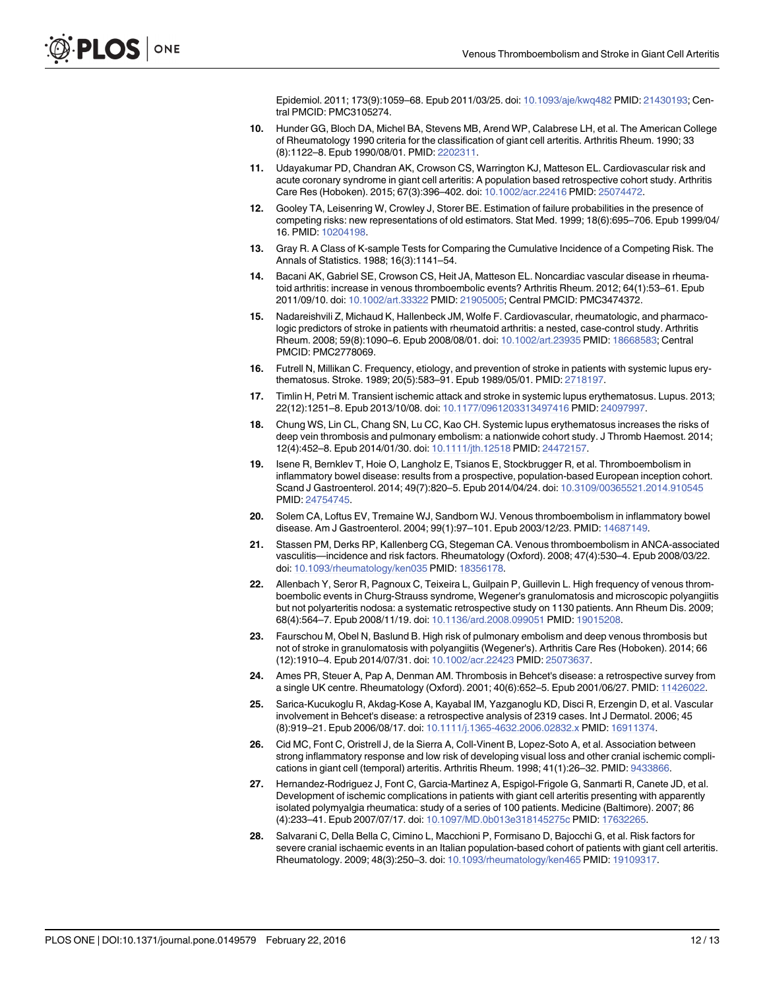Epidemiol. 2011; 173(9):1059–68. Epub 2011/03/25. doi: [10.1093/aje/kwq482](http://dx.doi.org/10.1093/aje/kwq482) PMID: [21430193](http://www.ncbi.nlm.nih.gov/pubmed/21430193); Central PMCID: PMC3105274.

- <span id="page-11-0"></span>Hunder GG, Bloch DA, Michel BA, Stevens MB, Arend WP, Calabrese LH, et al. The American College of Rheumatology 1990 criteria for the classification of giant cell arteritis. Arthritis Rheum. 1990; 33 (8):1122–8. Epub 1990/08/01. PMID: [2202311](http://www.ncbi.nlm.nih.gov/pubmed/2202311).
- [11.](#page-3-0) Udayakumar PD, Chandran AK, Crowson CS, Warrington KJ, Matteson EL. Cardiovascular risk and acute coronary syndrome in giant cell arteritis: A population based retrospective cohort study. Arthritis Care Res (Hoboken). 2015; 67(3):396–402. doi: [10.1002/acr.22416](http://dx.doi.org/10.1002/acr.22416) PMID: [25074472](http://www.ncbi.nlm.nih.gov/pubmed/25074472).
- [12.](#page-3-0) Gooley TA, Leisenring W, Crowley J, Storer BE. Estimation of failure probabilities in the presence of competing risks: new representations of old estimators. Stat Med. 1999; 18(6):695–706. Epub 1999/04/ 16. PMID: [10204198.](http://www.ncbi.nlm.nih.gov/pubmed/10204198)
- [13.](#page-3-0) Gray R. A Class of K-sample Tests for Comparing the Cumulative Incidence of a Competing Risk. The Annals of Statistics. 1988; 16(3):1141–54.
- [14.](#page-7-0) Bacani AK, Gabriel SE, Crowson CS, Heit JA, Matteson EL. Noncardiac vascular disease in rheumatoid arthritis: increase in venous thromboembolic events? Arthritis Rheum. 2012; 64(1):53–61. Epub 2011/09/10. doi: [10.1002/art.33322](http://dx.doi.org/10.1002/art.33322) PMID: [21905005;](http://www.ncbi.nlm.nih.gov/pubmed/21905005) Central PMCID: PMC3474372.
- [15.](#page-7-0) Nadareishvili Z, Michaud K, Hallenbeck JM, Wolfe F. Cardiovascular, rheumatologic, and pharmacologic predictors of stroke in patients with rheumatoid arthritis: a nested, case-control study. Arthritis Rheum. 2008; 59(8):1090–6. Epub 2008/08/01. doi: [10.1002/art.23935](http://dx.doi.org/10.1002/art.23935) PMID: [18668583;](http://www.ncbi.nlm.nih.gov/pubmed/18668583) Central PMCID: PMC2778069.
- [16.](#page-7-0) Futrell N, Millikan C. Frequency, etiology, and prevention of stroke in patients with systemic lupus erythematosus. Stroke. 1989; 20(5):583–91. Epub 1989/05/01. PMID: [2718197](http://www.ncbi.nlm.nih.gov/pubmed/2718197).
- 17. Timlin H, Petri M. Transient ischemic attack and stroke in systemic lupus erythematosus. Lupus. 2013; 22(12):1251–8. Epub 2013/10/08. doi: [10.1177/0961203313497416](http://dx.doi.org/10.1177/0961203313497416) PMID: [24097997](http://www.ncbi.nlm.nih.gov/pubmed/24097997).
- [18.](#page-7-0) Chung WS, Lin CL, Chang SN, Lu CC, Kao CH. Systemic lupus erythematosus increases the risks of deep vein thrombosis and pulmonary embolism: a nationwide cohort study. J Thromb Haemost. 2014; 12(4):452–8. Epub 2014/01/30. doi: [10.1111/jth.12518](http://dx.doi.org/10.1111/jth.12518) PMID: [24472157.](http://www.ncbi.nlm.nih.gov/pubmed/24472157)
- [19.](#page-7-0) Isene R, Bernklev T, Hoie O, Langholz E, Tsianos E, Stockbrugger R, et al. Thromboembolism in inflammatory bowel disease: results from a prospective, population-based European inception cohort. Scand J Gastroenterol. 2014; 49(7):820–5. Epub 2014/04/24. doi: [10.3109/00365521.2014.910545](http://dx.doi.org/10.3109/00365521.2014.910545) PMID: [24754745.](http://www.ncbi.nlm.nih.gov/pubmed/24754745)
- [20.](#page-7-0) Solem CA, Loftus EV, Tremaine WJ, Sandborn WJ. Venous thromboembolism in inflammatory bowel disease. Am J Gastroenterol. 2004; 99(1):97–101. Epub 2003/12/23. PMID: [14687149](http://www.ncbi.nlm.nih.gov/pubmed/14687149).
- [21.](#page-7-0) Stassen PM, Derks RP, Kallenberg CG, Stegeman CA. Venous thromboembolism in ANCA-associated vasculitis—incidence and risk factors. Rheumatology (Oxford). 2008; 47(4):530–4. Epub 2008/03/22. doi: [10.1093/rheumatology/ken035](http://dx.doi.org/10.1093/rheumatology/ken035) PMID: [18356178.](http://www.ncbi.nlm.nih.gov/pubmed/18356178)
- 22. Allenbach Y, Seror R, Pagnoux C, Teixeira L, Guilpain P, Guillevin L. High frequency of venous thromboembolic events in Churg-Strauss syndrome, Wegener's granulomatosis and microscopic polyangiitis but not polyarteritis nodosa: a systematic retrospective study on 1130 patients. Ann Rheum Dis. 2009; 68(4):564–7. Epub 2008/11/19. doi: [10.1136/ard.2008.099051](http://dx.doi.org/10.1136/ard.2008.099051) PMID: [19015208.](http://www.ncbi.nlm.nih.gov/pubmed/19015208)
- [23.](#page-7-0) Faurschou M, Obel N, Baslund B. High risk of pulmonary embolism and deep venous thrombosis but not of stroke in granulomatosis with polyangiitis (Wegener's). Arthritis Care Res (Hoboken). 2014; 66 (12):1910–4. Epub 2014/07/31. doi: [10.1002/acr.22423](http://dx.doi.org/10.1002/acr.22423) PMID: [25073637](http://www.ncbi.nlm.nih.gov/pubmed/25073637).
- [24.](#page-7-0) Ames PR, Steuer A, Pap A, Denman AM. Thrombosis in Behcet's disease: a retrospective survey from a single UK centre. Rheumatology (Oxford). 2001; 40(6):652–5. Epub 2001/06/27. PMID: [11426022](http://www.ncbi.nlm.nih.gov/pubmed/11426022).
- [25.](#page-7-0) Sarica-Kucukoglu R, Akdag-Kose A, Kayabal IM, Yazganoglu KD, Disci R, Erzengin D, et al. Vascular involvement in Behcet's disease: a retrospective analysis of 2319 cases. Int J Dermatol. 2006; 45 (8):919–21. Epub 2006/08/17. doi: [10.1111/j.1365-4632.2006.02832.x](http://dx.doi.org/10.1111/j.1365-4632.2006.02832.x) PMID: [16911374](http://www.ncbi.nlm.nih.gov/pubmed/16911374).
- [26.](#page-7-0) Cid MC, Font C, Oristrell J, de la Sierra A, Coll-Vinent B, Lopez-Soto A, et al. Association between strong inflammatory response and low risk of developing visual loss and other cranial ischemic complications in giant cell (temporal) arteritis. Arthritis Rheum. 1998; 41(1):26–32. PMID: [9433866.](http://www.ncbi.nlm.nih.gov/pubmed/9433866)
- 27. Hernandez-Rodriguez J, Font C, Garcia-Martinez A, Espigol-Frigole G, Sanmarti R, Canete JD, et al. Development of ischemic complications in patients with giant cell arteritis presenting with apparently isolated polymyalgia rheumatica: study of a series of 100 patients. Medicine (Baltimore). 2007; 86 (4):233–41. Epub 2007/07/17. doi: [10.1097/MD.0b013e318145275c](http://dx.doi.org/10.1097/MD.0b013e318145275c) PMID: [17632265](http://www.ncbi.nlm.nih.gov/pubmed/17632265).
- [28.](#page-8-0) Salvarani C, Della Bella C, Cimino L, Macchioni P, Formisano D, Bajocchi G, et al. Risk factors for severe cranial ischaemic events in an Italian population-based cohort of patients with giant cell arteritis. Rheumatology. 2009; 48(3):250-3. doi: [10.1093/rheumatology/ken465](http://dx.doi.org/10.1093/rheumatology/ken465) PMID: [19109317.](http://www.ncbi.nlm.nih.gov/pubmed/19109317)